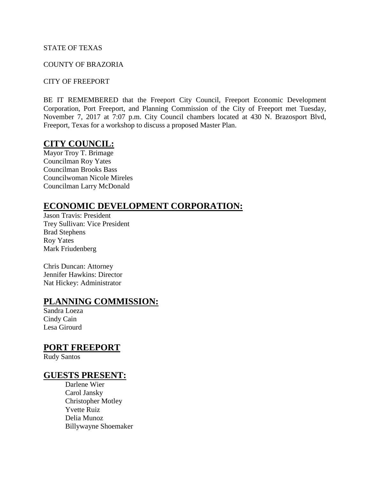#### STATE OF TEXAS

#### COUNTY OF BRAZORIA

#### CITY OF FREEPORT

BE IT REMEMBERED that the Freeport City Council, Freeport Economic Development Corporation, Port Freeport, and Planning Commission of the City of Freeport met Tuesday, November 7, 2017 at 7:07 p.m. City Council chambers located at 430 N. Brazosport Blvd, Freeport, Texas for a workshop to discuss a proposed Master Plan.

## **CITY COUNCIL:**

Mayor Troy T. Brimage Councilman Roy Yates Councilman Brooks Bass Councilwoman Nicole Mireles Councilman Larry McDonald

## **ECONOMIC DEVELOPMENT CORPORATION:**

Jason Travis: President Trey Sullivan: Vice President Brad Stephens Roy Yates Mark Friudenberg

Chris Duncan: Attorney Jennifer Hawkins: Director Nat Hickey: Administrator

#### **PLANNING COMMISSION:**

Sandra Loeza Cindy Cain Lesa Girourd

#### **PORT FREEPORT**

Rudy Santos

### **GUESTS PRESENT:**

Darlene Wier Carol Jansky Christopher Motley Yvette Ruiz Delia Munoz Billywayne Shoemaker